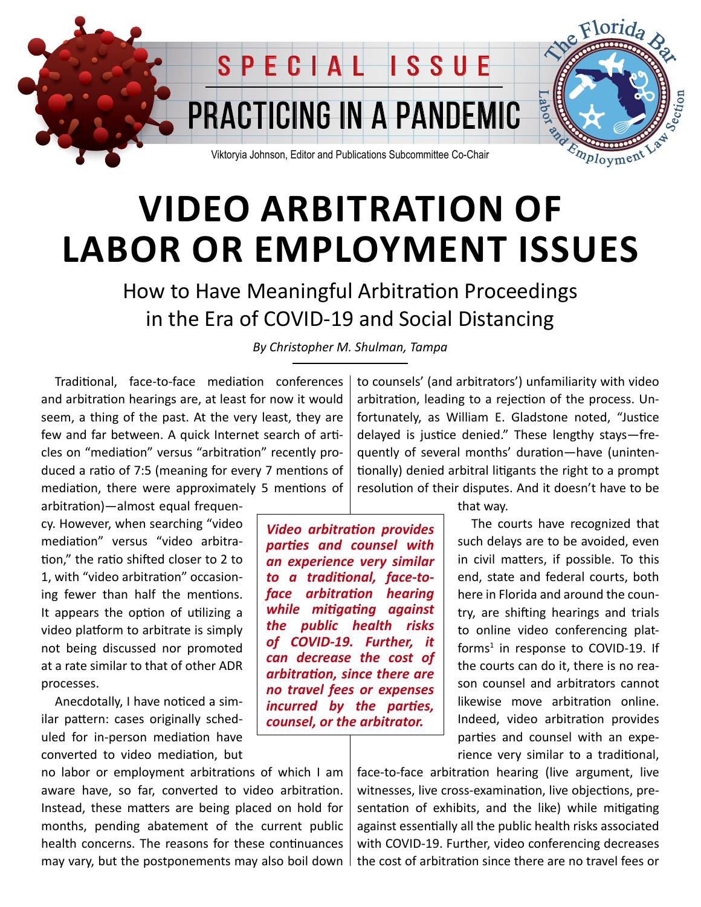

## **VIDEO ARBITRATION OF LABOR OR EMPLOYMENT ISSUES**

How to Have Meaningful Arbitration Proceedings in the Era of COVID-19 and Social Distancing

*By Christopher M. Shulman, Tampa*

Traditional, face-to-face mediation conferences and arbitration hearings are, at least for now it would seem, a thing of the past. At the very least, they are few and far between. A quick Internet search of articles on "mediation" versus "arbitration" recently produced a ratio of 7:5 (meaning for every 7 mentions of mediation, there were approximately 5 mentions of

arbitration)—almost equal frequency. However, when searching "video mediation" versus "video arbitration," the ratio shifted closer to 2 to 1, with "video arbitration" occasioning fewer than half the mentions. It appears the option of utilizing a video platform to arbitrate is simply not being discussed nor promoted at a rate similar to that of other ADR processes.

Anecdotally, I have noticed a similar pattern: cases originally scheduled for in-person mediation have converted to video mediation, but

no labor or employment arbitrations of which I am aware have, so far, converted to video arbitration. Instead, these matters are being placed on hold for months, pending abatement of the current public health concerns. The reasons for these continuances may vary, but the postponements may also boil down  $\parallel$ 

to counsels' (and arbitrators') unfamiliarity with video arbitration, leading to a rejection of the process. Unfortunately, as William E. Gladstone noted, "Justice delayed is justice denied." These lengthy stays—frequently of several months' duration—have (unintentionally) denied arbitral litigants the right to a prompt resolution of their disputes. And it doesn't have to be

*Video arbitration provides parties and counsel with an experience very similar to a traditional, face-toface arbitration hearing while mitigating against the public health risks of COVID-19. Further, it can decrease the cost of arbitration, since there are no travel fees or expenses incurred by the parties, counsel, or the arbitrator.*

that way.

The courts have recognized that such delays are to be avoided, even in civil matters, if possible. To this end, state and federal courts, both here in Florida and around the country, are shifting hearings and trials to online video conferencing platforms<sup>1</sup> in response to COVID-19. If the courts can do it, there is no reason counsel and arbitrators cannot likewise move arbitration online. Indeed, video arbitration provides parties and counsel with an experience very similar to a traditional,

face-to-face arbitration hearing (live argument, live witnesses, live cross-examination, live objections, presentation of exhibits, and the like) while mitigating against essentially all the public health risks associated with COVID-19. Further, video conferencing decreases the cost of arbitration since there are no travel fees or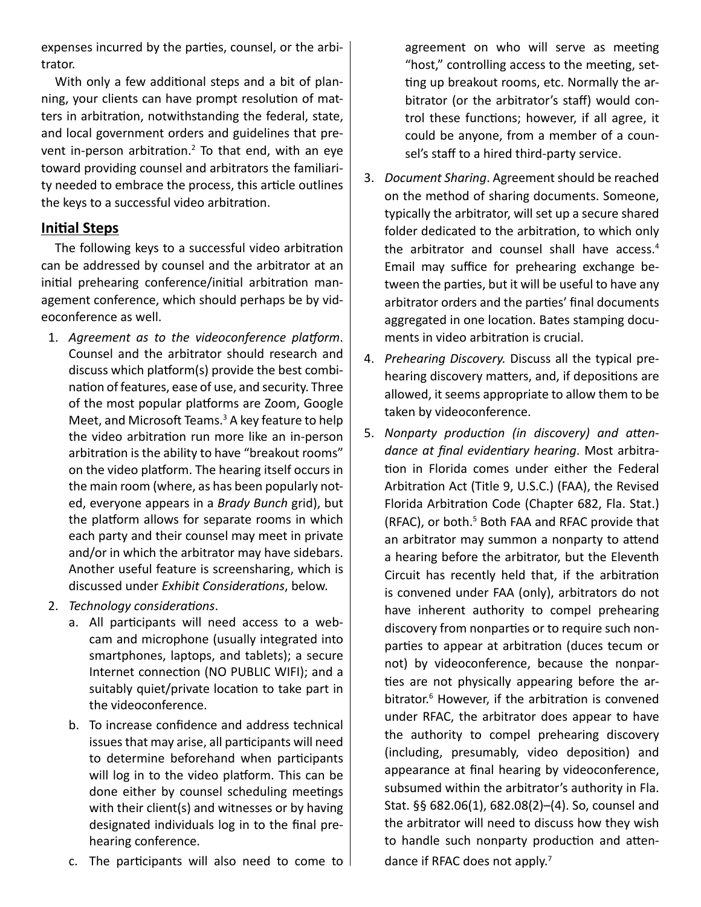expenses incurred by the parties, counsel, or the arbitrator.

With only a few additional steps and a bit of planning, your clients can have prompt resolution of matters in arbitration, notwithstanding the federal, state, and local government orders and guidelines that prevent in-person arbitration.<sup>2</sup> To that end, with an eye toward providing counsel and arbitrators the familiarity needed to embrace the process, this article outlines the keys to a successful video arbitration.

#### **Initial Steps**

The following keys to a successful video arbitration can be addressed by counsel and the arbitrator at an initial prehearing conference/initial arbitration management conference, which should perhaps be by videoconference as well.

- 1. *Agreement as to the videoconference platform*. Counsel and the arbitrator should research and discuss which platform(s) provide the best combination of features, ease of use, and security. Three of the most popular platforms are Zoom, Google Meet, and Microsoft Teams.<sup>3</sup> A key feature to help the video arbitration run more like an in-person arbitration is the ability to have "breakout rooms" on the video platform. The hearing itself occurs in the main room (where, as has been popularly noted, everyone appears in a *Brady Bunch* grid), but the platform allows for separate rooms in which each party and their counsel may meet in private and/or in which the arbitrator may have sidebars. Another useful feature is screensharing, which is discussed under *Exhibit Considerations*, below.
- 2. *Technology considerations*.
	- a. All participants will need access to a webcam and microphone (usually integrated into smartphones, laptops, and tablets); a secure Internet connection (NO PUBLIC WIFI); and a suitably quiet/private location to take part in the videoconference.
	- b. To increase confidence and address technical issues that may arise, all participants will need to determine beforehand when participants will log in to the video platform. This can be done either by counsel scheduling meetings with their client(s) and witnesses or by having designated individuals log in to the final prehearing conference.
	- c. The participants will also need to come to  $\mathsf{I}$

agreement on who will serve as meeting "host," controlling access to the meeting, setting up breakout rooms, etc. Normally the arbitrator (or the arbitrator's staff) would control these functions; however, if all agree, it could be anyone, from a member of a counsel's staff to a hired third-party service.

- 3. *Document Sharing*. Agreement should be reached on the method of sharing documents. Someone, typically the arbitrator, will set up a secure shared folder dedicated to the arbitration, to which only the arbitrator and counsel shall have access.<sup>4</sup> Email may suffice for prehearing exchange between the parties, but it will be useful to have any arbitrator orders and the parties' final documents aggregated in one location. Bates stamping documents in video arbitration is crucial.
- 4. *Prehearing Discovery.* Discuss all the typical prehearing discovery matters, and, if depositions are allowed, it seems appropriate to allow them to be taken by videoconference.
- 5. *Nonparty production (in discovery) and attendance at final evidentiary hearing*. Most arbitration in Florida comes under either the Federal Arbitration Act (Title 9, U.S.C.) (FAA), the Revised Florida Arbitration Code (Chapter 682, Fla. Stat.) (RFAC), or both.<sup>5</sup> Both FAA and RFAC provide that an arbitrator may summon a nonparty to attend a hearing before the arbitrator, but the Eleventh Circuit has recently held that, if the arbitration is convened under FAA (only), arbitrators do not have inherent authority to compel prehearing discovery from nonparties or to require such nonparties to appear at arbitration (duces tecum or not) by videoconference, because the nonparties are not physically appearing before the arbitrator.6 However, if the arbitration is convened under RFAC, the arbitrator does appear to have the authority to compel prehearing discovery (including, presumably, video deposition) and appearance at final hearing by videoconference, subsumed within the arbitrator's authority in Fla. Stat. §§ 682.06(1), 682.08(2)–(4). So, counsel and the arbitrator will need to discuss how they wish to handle such nonparty production and attendance if RFAC does not apply.<sup>7</sup>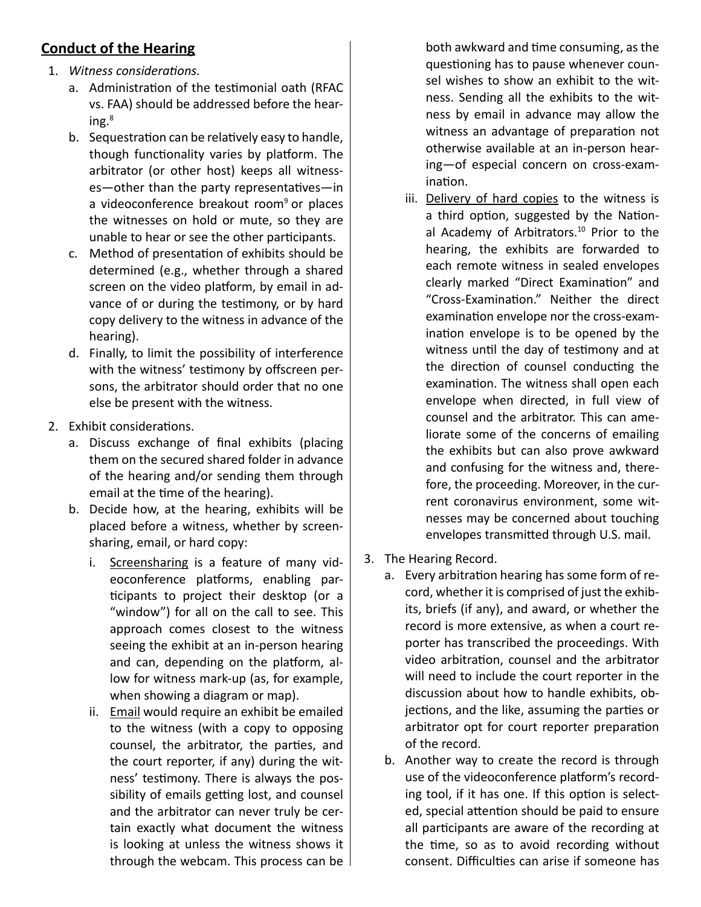### **Conduct of the Hearing**

- 1. *Witness considerations.* 
	- a. Administration of the testimonial oath (RFAC vs. FAA) should be addressed before the hear $ing.^8$
	- b. Sequestration can be relatively easy to handle, though functionality varies by platform. The arbitrator (or other host) keeps all witnesses—other than the party representatives—in a videoconference breakout room<sup>9</sup> or places the witnesses on hold or mute, so they are unable to hear or see the other participants.
	- c. Method of presentation of exhibits should be determined (e.g., whether through a shared screen on the video platform, by email in advance of or during the testimony, or by hard copy delivery to the witness in advance of the hearing).
	- d. Finally, to limit the possibility of interference with the witness' testimony by offscreen persons, the arbitrator should order that no one else be present with the witness.
- 2. Exhibit considerations.
	- a. Discuss exchange of final exhibits (placing them on the secured shared folder in advance of the hearing and/or sending them through email at the time of the hearing).
	- b. Decide how, at the hearing, exhibits will be placed before a witness, whether by screensharing, email, or hard copy:
		- i. Screensharing is a feature of many videoconference platforms, enabling participants to project their desktop (or a "window") for all on the call to see. This approach comes closest to the witness seeing the exhibit at an in-person hearing and can, depending on the platform, allow for witness mark-up (as, for example, when showing a diagram or map).
		- ii. Email would require an exhibit be emailed to the witness (with a copy to opposing counsel, the arbitrator, the parties, and the court reporter, if any) during the witness' testimony. There is always the possibility of emails getting lost, and counsel and the arbitrator can never truly be certain exactly what document the witness is looking at unless the witness shows it through the webcam. This process can be  $\parallel$

both awkward and time consuming, as the questioning has to pause whenever counsel wishes to show an exhibit to the witness. Sending all the exhibits to the witness by email in advance may allow the witness an advantage of preparation not otherwise available at an in-person hearing—of especial concern on cross-examination.

- iii. Delivery of hard copies to the witness is a third option, suggested by the National Academy of Arbitrators.<sup>10</sup> Prior to the hearing, the exhibits are forwarded to each remote witness in sealed envelopes clearly marked "Direct Examination" and "Cross-Examination." Neither the direct examination envelope nor the cross-examination envelope is to be opened by the witness until the day of testimony and at the direction of counsel conducting the examination. The witness shall open each envelope when directed, in full view of counsel and the arbitrator. This can ameliorate some of the concerns of emailing the exhibits but can also prove awkward and confusing for the witness and, therefore, the proceeding. Moreover, in the current coronavirus environment, some witnesses may be concerned about touching envelopes transmitted through U.S. mail.
- 3. The Hearing Record.
	- a. Every arbitration hearing has some form of record, whether it is comprised of just the exhibits, briefs (if any), and award, or whether the record is more extensive, as when a court reporter has transcribed the proceedings. With video arbitration, counsel and the arbitrator will need to include the court reporter in the discussion about how to handle exhibits, objections, and the like, assuming the parties or arbitrator opt for court reporter preparation of the record.
	- b. Another way to create the record is through use of the videoconference platform's recording tool, if it has one. If this option is selected, special attention should be paid to ensure all participants are aware of the recording at the time, so as to avoid recording without consent. Difficulties can arise if someone has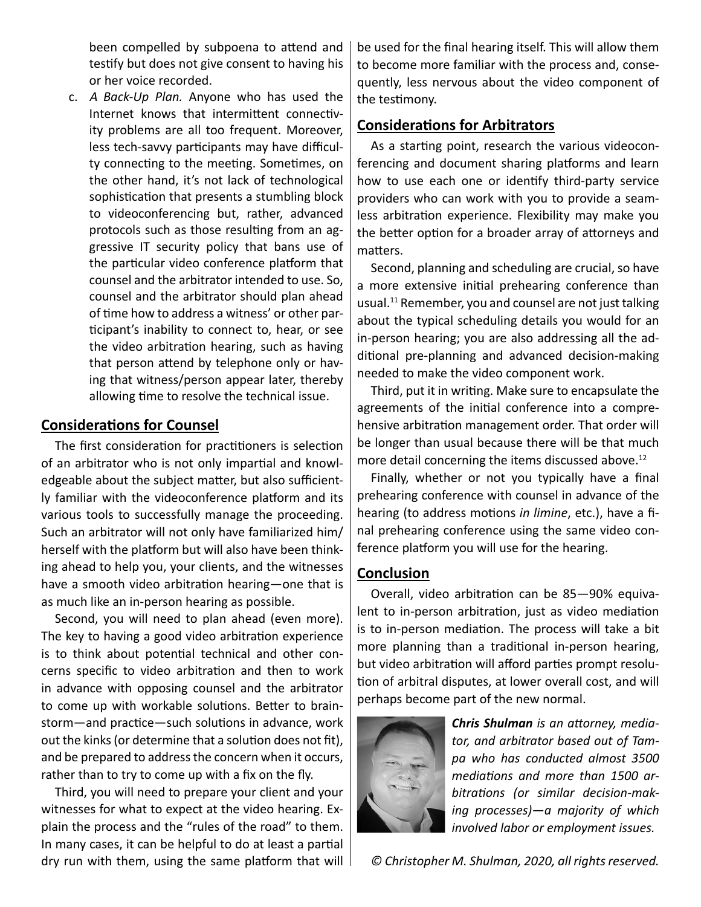been compelled by subpoena to attend and testify but does not give consent to having his or her voice recorded.

c. <sup>A</sup> *Back-Up Plan.* Anyone who has used the Internet knows that intermittent connectivity problems are all too frequent. Moreover, less tech-savvy participants may have difficulty connecting to the meeting. Sometimes, on the other hand, it's not lack of technological sophistication that presents a stumbling block to videoconferencing but, rather, advanced protocols such as those resulting from an aggressive IT security policy that bans use of the particular video conference platform that counsel and the arbitrator intended to use. So, counsel and the arbitrator should plan ahead of time how to address a witness' or other participant's inability to connect to, hear, or see the video arbitration hearing, such as having that person attend by telephone only or having that witness/person appear later, thereby allowing time to resolve the technical issue.

#### **Considerations for Counsel**

The first consideration for practitioners is selection of an arbitrator who is not only impartial and knowledgeable about the subject matter, but also sufficiently familiar with the videoconference platform and its various tools to successfully manage the proceeding. Such an arbitrator will not only have familiarized him/ herself with the platform but will also have been thinking ahead to help you, your clients, and the witnesses have a smooth video arbitration hearing—one that is as much like an in-person hearing as possible.

Second, you will need to plan ahead (even more). The key to having a good video arbitration experience is to think about potential technical and other concerns specific to video arbitration and then to work in advance with opposing counsel and the arbitrator to come up with workable solutions. Better to brainstorm—and practice—such solutions in advance, work out the kinks (or determine that a solution does not fit), and be prepared to address the concern when it occurs, rather than to try to come up with a fix on the fly.

Third, you will need to prepare your client and your witnesses for what to expect at the video hearing. Explain the process and the "rules of the road" to them. In many cases, it can be helpful to do at least a partial dry run with them, using the same platform that will

be used for the final hearing itself. This will allow them to become more familiar with the process and, consequently, less nervous about the video component of the testimony.

#### **Considerations for Arbitrators**

As a starting point, research the various videoconferencing and document sharing platforms and learn how to use each one or identify third-party service providers who can work with you to provide a seamless arbitration experience. Flexibility may make you the better option for a broader array of attorneys and matters.

Second, planning and scheduling are crucial, so have a more extensive initial prehearing conference than usual.<sup>11</sup> Remember, you and counsel are not just talking about the typical scheduling details you would for an in-person hearing; you are also addressing all the additional pre-planning and advanced decision-making needed to make the video component work.

Third, put it in writing. Make sure to encapsulate the agreements of the initial conference into a comprehensive arbitration management order. That order will be longer than usual because there will be that much more detail concerning the items discussed above.<sup>12</sup>

Finally, whether or not you typically have a final prehearing conference with counsel in advance of the hearing (to address motions *in limine*, etc.), have a final prehearing conference using the same video conference platform you will use for the hearing.

#### **Conclusion**

Overall, video arbitration can be 85—90% equivalent to in-person arbitration, just as video mediation is to in-person mediation. The process will take a bit more planning than a traditional in-person hearing, but video arbitration will afford parties prompt resolution of arbitral disputes, at lower overall cost, and will perhaps become part of the new normal.



*Chris Shulman is an attorney, mediator, and arbitrator based out of Tampa who has conducted almost 3500 mediations and more than 1500 arbitrations (or similar decision-making processes)—a majority of which involved labor or employment issues.*

*© Christopher M. Shulman, 2020, all rights reserved.*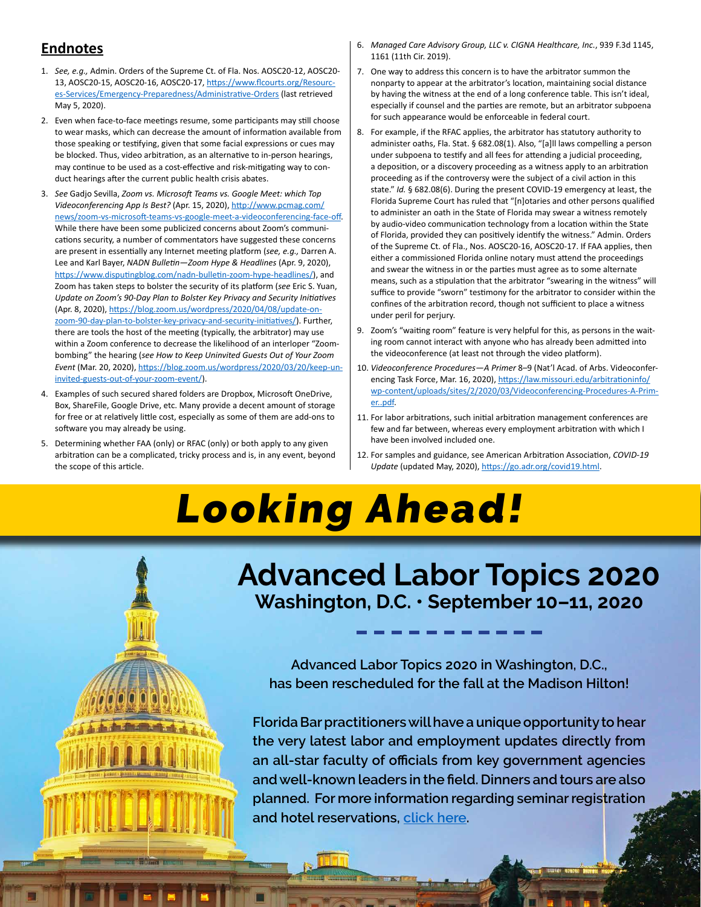#### **Endnotes**

- 1. *See, e.g.,* Admin. Orders of the Supreme Ct. of Fla. Nos. AOSC20-12, AOSC20- 13, AOSC20-15, AOSC20-16, AOSC20-17, https://www.flcourts.org/Resources-Services/Emergency-Preparedness/Administrative-Orders (last retrieved May 5, 2020).
- 2. Even when face-to-face meetings resume, some participants may still choose to wear masks, which can decrease the amount of information available from those speaking or testifying, given that some facial expressions or cues may be blocked. Thus, video arbitration, as an alternative to in-person hearings, may continue to be used as a cost-effective and risk-mitigating way to conduct hearings after the current public health crisis abates.
- 3. *See* Gadjo Sevilla, *Zoom vs. Microsoft Teams vs. Google Meet: which Top Videoconferencing App Is Best?* (Apr. 15, 2020), http://www.pcmag.com/ news/zoom-vs-microsoft-teams-vs-google-meet-a-videoconferencing-face-off. While there have been some publicized concerns about Zoom's communications security, a number of commentators have suggested these concerns are present in essentially any Internet meeting platform (*see, e.g.,* Darren A. Lee and Karl Bayer, *NADN Bulletin—Zoom Hype & Headlines* (Apr. 9, 2020), https://www.disputingblog.com/nadn-bulletin-zoom-hype-headlines/), and Zoom has taken steps to bolster the security of its platform (*see* Eric S. Yuan, *Update on Zoom's 90-Day Plan to Bolster Key Privacy and Security Initiatives* (Apr. 8, 2020), https://blog.zoom.us/wordpress/2020/04/08/update-onzoom-90-day-plan-to-bolster-key-privacy-and-security-initiatives/). Further, there are tools the host of the meeting (typically, the arbitrator) may use within a Zoom conference to decrease the likelihood of an interloper "Zoombombing" the hearing (*see How to Keep Uninvited Guests Out of Your Zoom Event* (Mar. 20, 2020), https://blog.zoom.us/wordpress/2020/03/20/keep-uninvited-guests-out-of-your-zoom-event/).
- 4. Examples of such secured shared folders are Dropbox, Microsoft OneDrive, Box, ShareFile, Google Drive, etc. Many provide a decent amount of storage for free or at relatively little cost, especially as some of them are add-ons to software you may already be using.
- 5. Determining whether FAA (only) or RFAC (only) or both apply to any given arbitration can be a complicated, tricky process and is, in any event, beyond the scope of this article.
- 6. *Managed Care Advisory Group, LLC v. CIGNA Healthcare, Inc.*, 939 F.3d 1145, 1161 (11th Cir. 2019).
- 7. One way to address this concern is to have the arbitrator summon the nonparty to appear at the arbitrator's location, maintaining social distance by having the witness at the end of a long conference table. This isn't ideal, especially if counsel and the parties are remote, but an arbitrator subpoena for such appearance would be enforceable in federal court.
- 8. For example, if the RFAC applies, the arbitrator has statutory authority to administer oaths, Fla. Stat. § 682.08(1). Also, "[a]ll laws compelling a person under subpoena to testify and all fees for attending a judicial proceeding, a deposition, or a discovery proceeding as a witness apply to an arbitration proceeding as if the controversy were the subject of a civil action in this state." *Id.* § 682.08(6). During the present COVID-19 emergency at least, the Florida Supreme Court has ruled that "[n]otaries and other persons qualified to administer an oath in the State of Florida may swear a witness remotely by audio-video communication technology from a location within the State of Florida, provided they can positively identify the witness." Admin. Orders of the Supreme Ct. of Fla., Nos. AOSC20-16, AOSC20-17. If FAA applies, then either a commissioned Florida online notary must attend the proceedings and swear the witness in or the parties must agree as to some alternate means, such as a stipulation that the arbitrator "swearing in the witness" will suffice to provide "sworn" testimony for the arbitrator to consider within the confines of the arbitration record, though not sufficient to place a witness under peril for perjury.
- 9. Zoom's "waiting room" feature is very helpful for this, as persons in the waiting room cannot interact with anyone who has already been admitted into the videoconference (at least not through the video platform).
- 10. *Videoconference Procedures—A Primer* 8–9 (Nat'l Acad. of Arbs. Videoconferencing Task Force, Mar. 16, 2020), [https://law.missouri.edu/arbitrationinfo/](https://law.missouri.edu/arbitrationinfo/wp-content/uploads/sites/2/2020/03/Videoconferencing-Procedures-A-Primer..pdf) [wp-content/uploads/sites/2/2020/03/Videoconferencing-Procedures-A-Prim](https://law.missouri.edu/arbitrationinfo/wp-content/uploads/sites/2/2020/03/Videoconferencing-Procedures-A-Primer..pdf)[er..pdf](https://law.missouri.edu/arbitrationinfo/wp-content/uploads/sites/2/2020/03/Videoconferencing-Procedures-A-Primer..pdf).
- 11. For labor arbitrations, such initial arbitration management conferences are few and far between, whereas every employment arbitration with which I have been involved included one.
- 12. For samples and guidance, see American Arbitration Association, *COVID-19 Update* (updated May, 2020), https://go.adr.org/covid19.html.

# Looking Ahead!



**Advanced Labor Topics 2020 Washington, D.C. • September 10–11, 2020**

**Advanced Labor Topics 2020 in Washington, D.C., has been rescheduled for the fall at the Madison Hilton!** 

**Florida Bar practitioners will have a unique opportunity to hear the very latest labor and employment updates directly from an all-star faculty of officials from key government agencies and well-known leaders in the field. Dinners and tours are also planned. For more information regarding seminar registration and hotel reservations, [click here](https://member.floridabar.org/s/lt-event?id=a1R1R000006fa9mUAA#/Overview).**